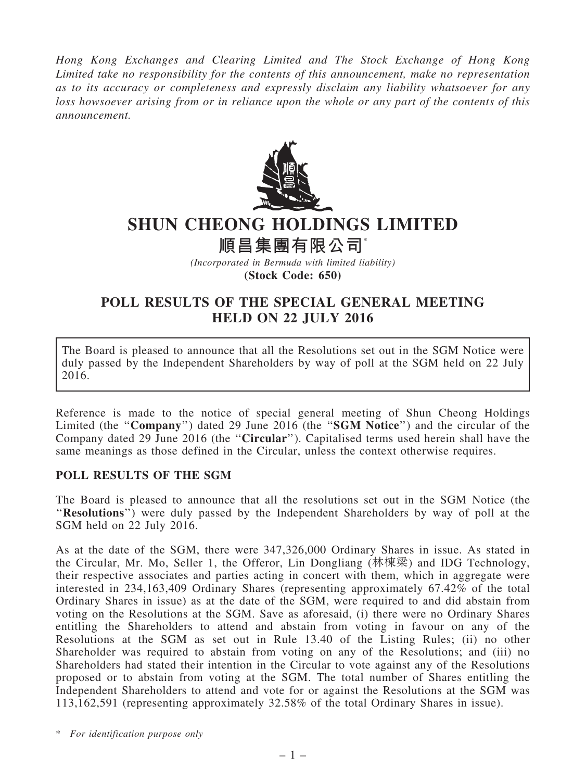*Hong Kong Exchanges and Clearing Limited and The Stock Exchange of Hong Kong Limited take no responsibility for the contents of this announcement, make no representation as to its accuracy or completeness and expressly disclaim any liability whatsoever for any loss howsoever arising from or in reliance upon the whole or any part of the contents of this announcement.*



## SHUN CHEONG HOLDINGS LIMITED

## 順昌集團有限公司\*

*(Incorporated in Bermuda with limited liability)* (Stock Code: 650)

## POLL RESULTS OF THE SPECIAL GENERAL MEETING HELD ON 22 JULY 2016

The Board is pleased to announce that all the Resolutions set out in the SGM Notice were duly passed by the Independent Shareholders by way of poll at the SGM held on 22 July 2016.

Reference is made to the notice of special general meeting of Shun Cheong Holdings Limited (the "Company") dated 29 June 2016 (the "SGM Notice") and the circular of the Company dated 29 June 2016 (the ''Circular''). Capitalised terms used herein shall have the same meanings as those defined in the Circular, unless the context otherwise requires.

## POLL RESULTS OF THE SGM

The Board is pleased to announce that all the resolutions set out in the SGM Notice (the ''Resolutions'') were duly passed by the Independent Shareholders by way of poll at the SGM held on 22 July 2016.

As at the date of the SGM, there were 347,326,000 Ordinary Shares in issue. As stated in the Circular, Mr. Mo, Seller 1, the Offeror, Lin Dongliang (林棟梁) and IDG Technology, their respective associates and parties acting in concert with them, which in aggregate were interested in 234,163,409 Ordinary Shares (representing approximately 67.42% of the total Ordinary Shares in issue) as at the date of the SGM, were required to and did abstain from voting on the Resolutions at the SGM. Save as aforesaid, (i) there were no Ordinary Shares entitling the Shareholders to attend and abstain from voting in favour on any of the Resolutions at the SGM as set out in Rule 13.40 of the Listing Rules; (ii) no other Shareholder was required to abstain from voting on any of the Resolutions; and (iii) no Shareholders had stated their intention in the Circular to vote against any of the Resolutions proposed or to abstain from voting at the SGM. The total number of Shares entitling the Independent Shareholders to attend and vote for or against the Resolutions at the SGM was 113,162,591 (representing approximately 32.58% of the total Ordinary Shares in issue).

\* *For identification purpose only*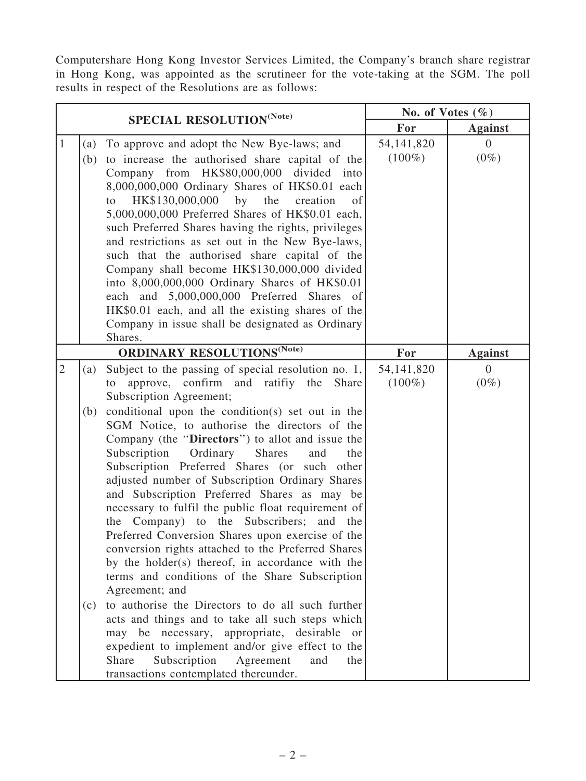Computershare Hong Kong Investor Services Limited, the Company's branch share registrar in Hong Kong, was appointed as the scrutineer for the vote-taking at the SGM. The poll results in respect of the Resolutions are as follows:

| SPECIAL RESOLUTION <sup>(Note)</sup>         |                                                                                                                                                                                                                                                                                                                                                                                                                                                                                                                                                                                                                                                                                                                                                                                                                                                                                                                                                                                                                                                                                                                                                                        | No. of Votes $(\% )$      |                           |
|----------------------------------------------|------------------------------------------------------------------------------------------------------------------------------------------------------------------------------------------------------------------------------------------------------------------------------------------------------------------------------------------------------------------------------------------------------------------------------------------------------------------------------------------------------------------------------------------------------------------------------------------------------------------------------------------------------------------------------------------------------------------------------------------------------------------------------------------------------------------------------------------------------------------------------------------------------------------------------------------------------------------------------------------------------------------------------------------------------------------------------------------------------------------------------------------------------------------------|---------------------------|---------------------------|
|                                              |                                                                                                                                                                                                                                                                                                                                                                                                                                                                                                                                                                                                                                                                                                                                                                                                                                                                                                                                                                                                                                                                                                                                                                        | For                       | <b>Against</b>            |
| $\mathbf{1}$<br>(a)<br>(b)                   | To approve and adopt the New Bye-laws; and<br>to increase the authorised share capital of the<br>Company from HK\$80,000,000 divided into<br>8,000,000,000 Ordinary Shares of HK\$0.01 each<br>HK\$130,000,000<br>the<br>by<br>creation<br>of<br>to<br>5,000,000,000 Preferred Shares of HK\$0.01 each,<br>such Preferred Shares having the rights, privileges<br>and restrictions as set out in the New Bye-laws,<br>such that the authorised share capital of the<br>Company shall become HK\$130,000,000 divided<br>into 8,000,000,000 Ordinary Shares of HK\$0.01<br>each and 5,000,000,000 Preferred Shares of<br>HK\$0.01 each, and all the existing shares of the<br>Company in issue shall be designated as Ordinary<br>Shares.                                                                                                                                                                                                                                                                                                                                                                                                                                | 54, 141, 820<br>$(100\%)$ | $\overline{0}$<br>$(0\%)$ |
| <b>ORDINARY RESOLUTIONS<sup>(Note)</sup></b> |                                                                                                                                                                                                                                                                                                                                                                                                                                                                                                                                                                                                                                                                                                                                                                                                                                                                                                                                                                                                                                                                                                                                                                        | For                       | <b>Against</b>            |
| $\overline{2}$<br>(a)<br>(b)<br>(c)          | Subject to the passing of special resolution no. 1,<br>approve, confirm and ratifiy the<br>Share<br>to<br>Subscription Agreement;<br>conditional upon the condition(s) set out in the<br>SGM Notice, to authorise the directors of the<br>Company (the "Directors") to allot and issue the<br>Subscription<br>Ordinary<br><b>Shares</b><br>the<br>and<br>Subscription Preferred Shares (or such other<br>adjusted number of Subscription Ordinary Shares<br>and Subscription Preferred Shares as may be<br>necessary to fulfil the public float requirement of<br>the Company) to the Subscribers; and the<br>Preferred Conversion Shares upon exercise of the<br>conversion rights attached to the Preferred Shares<br>by the holder(s) thereof, in accordance with the<br>terms and conditions of the Share Subscription<br>Agreement; and<br>to authorise the Directors to do all such further<br>acts and things and to take all such steps which<br>be necessary, appropriate, desirable<br>may<br><sub>or</sub><br>expedient to implement and/or give effect to the<br>Subscription<br>Share<br>Agreement<br>and<br>the<br>transactions contemplated thereunder. | 54, 141, 820<br>$(100\%)$ | $\Omega$<br>$(0\%)$       |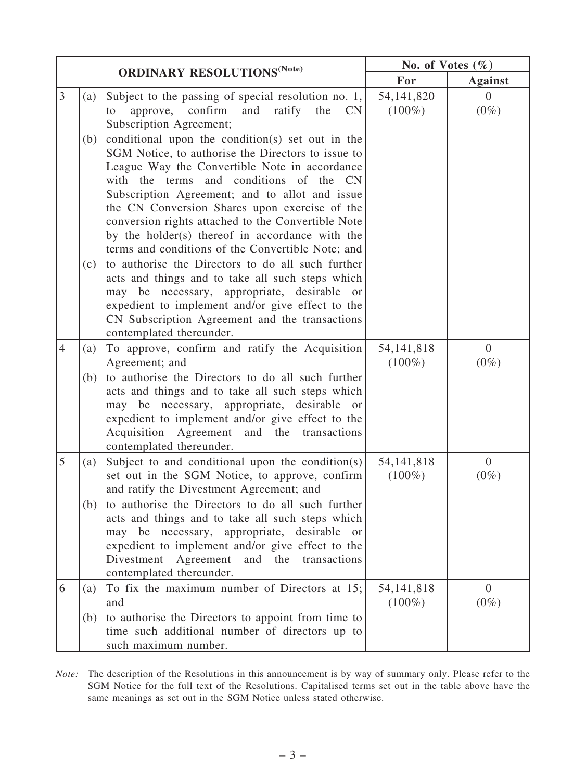| <b>ORDINARY RESOLUTIONS</b> <sup>(Note)</sup> |            | No. of Votes $(\% )$                                                                                                                                                                                                                                                                                                                                                                                                                                                                                                     |                           |                           |
|-----------------------------------------------|------------|--------------------------------------------------------------------------------------------------------------------------------------------------------------------------------------------------------------------------------------------------------------------------------------------------------------------------------------------------------------------------------------------------------------------------------------------------------------------------------------------------------------------------|---------------------------|---------------------------|
|                                               |            | For                                                                                                                                                                                                                                                                                                                                                                                                                                                                                                                      | <b>Against</b>            |                           |
| $\overline{3}$                                | (a)        | Subject to the passing of special resolution no. $1$ ,<br>approve, confirm<br>and<br>ratify<br>the<br><b>CN</b><br>to<br>Subscription Agreement;                                                                                                                                                                                                                                                                                                                                                                         | 54, 141, 820<br>$(100\%)$ | $\Omega$<br>$(0\%)$       |
|                                               | (b)<br>(c) | conditional upon the condition(s) set out in the<br>SGM Notice, to authorise the Directors to issue to<br>League Way the Convertible Note in accordance<br>with the terms and conditions of the CN<br>Subscription Agreement; and to allot and issue<br>the CN Conversion Shares upon exercise of the<br>conversion rights attached to the Convertible Note<br>by the holder(s) thereof in accordance with the<br>terms and conditions of the Convertible Note; and<br>to authorise the Directors to do all such further |                           |                           |
|                                               |            | acts and things and to take all such steps which<br>may be necessary, appropriate, desirable<br><sub>or</sub><br>expedient to implement and/or give effect to the<br>CN Subscription Agreement and the transactions<br>contemplated thereunder.                                                                                                                                                                                                                                                                          |                           |                           |
| $\overline{4}$                                | (a)        | To approve, confirm and ratify the Acquisition<br>Agreement; and                                                                                                                                                                                                                                                                                                                                                                                                                                                         | 54, 141, 818<br>$(100\%)$ | $\overline{0}$<br>$(0\%)$ |
|                                               | (b)        | to authorise the Directors to do all such further<br>acts and things and to take all such steps which<br>may be necessary, appropriate, desirable<br><sub>or</sub><br>expedient to implement and/or give effect to the<br>Acquisition Agreement<br>and the transactions<br>contemplated thereunder.                                                                                                                                                                                                                      |                           |                           |
| 5                                             | (a)        | Subject to and conditional upon the condition(s)<br>set out in the SGM Notice, to approve, confirm<br>and ratify the Divestment Agreement; and                                                                                                                                                                                                                                                                                                                                                                           | 54, 141, 818<br>$(100\%)$ | $\overline{0}$<br>$(0\%)$ |
|                                               | (b)        | to authorise the Directors to do all such further<br>acts and things and to take all such steps which<br>may be necessary, appropriate, desirable or<br>expedient to implement and/or give effect to the<br>Divestment<br>Agreement<br>and<br>the<br>transactions<br>contemplated thereunder.                                                                                                                                                                                                                            |                           |                           |
| 6                                             | (a)        | To fix the maximum number of Directors at $15$ ;<br>and                                                                                                                                                                                                                                                                                                                                                                                                                                                                  | 54, 141, 818<br>$(100\%)$ | $\overline{0}$<br>$(0\%)$ |
|                                               | (b)        | to authorise the Directors to appoint from time to<br>time such additional number of directors up to<br>such maximum number.                                                                                                                                                                                                                                                                                                                                                                                             |                           |                           |

*Note:* The description of the Resolutions in this announcement is by way of summary only. Please refer to the SGM Notice for the full text of the Resolutions. Capitalised terms set out in the table above have the same meanings as set out in the SGM Notice unless stated otherwise.